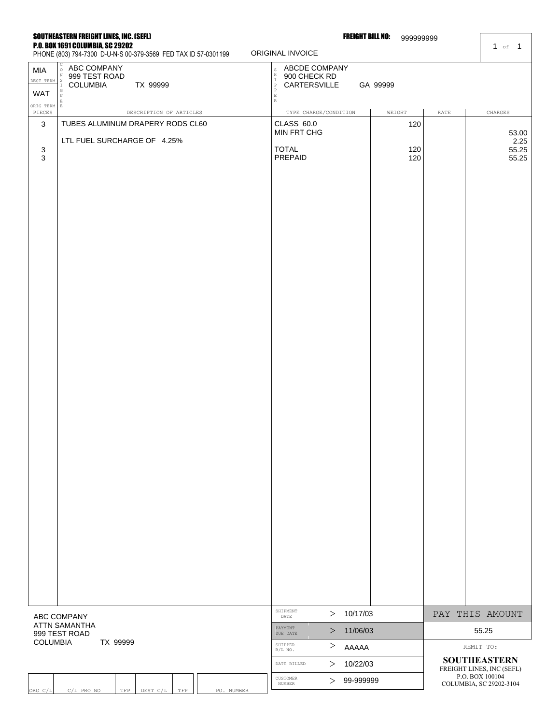#### SOUTHEASTERN FREIGHT LINES, INC. (SEFL) P.O. BOX 1691 COLUMBIA, SC 29202

ABC COMPANY 999 TEST ROAD

DEST TERM

WAT

MIA

C O N S I G **FREIGHT BILL NO: 999999999** 

1 of 1

PHONE (803) 794-7300 D-U-N-S 00-379-3569 FED TAX ID 57-0301199

COLUMBIA TX 99999

RG C/L C/L PRO NO TFP DEST C/L TFP PO. NUMBER

# ORIG TER N E E R PIECES DESCRIPTION OF ARTICLES TYPE CHARGE/CONDITION WEIGHT RATE CHARGES SHIPMENT  $> 10/17/03$  PAY THIS AMOUNT PAYMENT  $\geq$ 10/17/03 11/06/03  $\begin{array}{c|c} \textbf{11/06/03} & \textbf{55.25} \\ \textbf{AAAAA} & \textbf{REMIT TC} \\ \hline \textbf{10/22/03} & \textbf{SOUTHEAS} \\ \textbf{99-999999} & \textbf{COU THE AS} \\ \textbf{99-999999} & \textbf{COU IMPLA SC 20} \\ \end{array}$ ABC COMPANY ATTN SAMANTHA 999 TEST ROAD COLUMBIA TX 99999 3 3 3 TUBES ALUMINUM DRAPERY RODS CL60 LTL FUEL SURCHARGE OF 4.25% CLASS 60.0 MIN FRT CHG TOTAL PREPAID 120 120 120 53.00 2.25 55.25 55.25

SHIPPER  $\geq$ DATE BILLED  $\geq$ 

IUSTOMER > 99-999999

AAAAA 10/22/03

CUSTOMER

S H I P P

ORIGINAL INVOICE

ABCDE COMPANY 900 CHECK RD

CARTERSVILLE GA 99999

E

REMIT TO: **SOUTHEASTERN**  FREIGHT LINES, INC (SEFL)

P.O. BOX 100104 COLUMBIA, SC 29202-3104